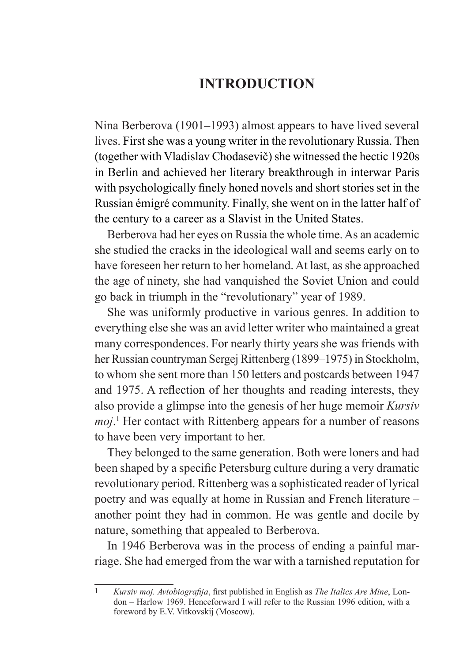## **INTRODUCTION**

Nina Berberova (1901–1993) almost appears to have lived several lives. First she was a young writer in the revolutionary Russia. Then (together with Vladislav Chodasevič) she witnessed the hectic 1920s in Berlin and achieved her literary breakthrough in interwar Paris with psychologically finely honed novels and short stories set in the Russian émigré community. Finally, she went on in the latter half of the century to a career as a Slavist in the United States.

Berberova had her eyes on Russia the whole time. As an academic she studied the cracks in the ideological wall and seems early on to have foreseen her return to her homeland. At last, as she approached the age of ninety, she had vanquished the Soviet Union and could go back in triumph in the "revolutionary" year of 1989.

She was uniformly productive in various genres. In addition to everything else she was an avid letter writer who maintained a great many correspondences. For nearly thirty years she was friends with her Russian countryman Sergej Rittenberg (1899–1975) in Stockholm, to whom she sent more than 150 letters and postcards between 1947 and 1975. A reflection of her thoughts and reading interests, they also provide a glimpse into the genesis of her huge memoir *Kursiv moj*. 1 Her contact with Rittenberg appears for a number of reasons to have been very important to her.

They belonged to the same generation. Both were loners and had been shaped by a specific Petersburg culture during a very dramatic revolutionary period. Rittenberg was a sophisticated reader of lyrical poetry and was equally at home in Russian and French literature – another point they had in common. He was gentle and docile by nature, something that appealed to Berberova.

In 1946 Berberova was in the process of ending a painful marriage. She had emerged from the war with a tarnished reputation for

<sup>1</sup> *Kursiv moj. Avtobiografija*, first published in English as *The Italics Are Mine*, London – Harlow 1969. Henceforward I will refer to the Russian 1996 edition, with a foreword by E.V. Vitkovskij (Moscow).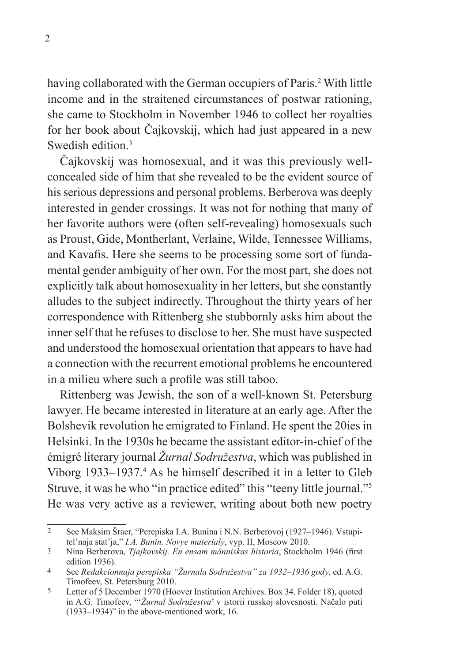having collaborated with the German occupiers of Paris.<sup>2</sup> With little income and in the straitened circumstances of postwar rationing, she came to Stockholm in November 1946 to collect her royalties for her book about Čajkovskij, which had just appeared in a new Swedish edition<sup>3</sup>

Čajkovskij was homosexual, and it was this previously wellconcealed side of him that she revealed to be the evident source of his serious depressions and personal problems. Berberova was deeply interested in gender crossings. It was not for nothing that many of her favorite authors were (often self-revealing) homosexuals such as Proust, Gide, Montherlant, Verlaine, Wilde, Tennessee Williams, and Kavafis. Here she seems to be processing some sort of fundamental gender ambiguity of her own. For the most part, she does not explicitly talk about homosexuality in her letters, but she constantly alludes to the subject indirectly. Throughout the thirty years of her correspondence with Rittenberg she stubbornly asks him about the inner self that he refuses to disclose to her. She must have suspected and understood the homosexual orientation that appears to have had a connection with the recurrent emotional problems he encountered in a milieu where such a profile was still taboo.

Rittenberg was Jewish, the son of a well-known St. Petersburg lawyer. He became interested in literature at an early age. After the Bolshevik revolution he emigrated to Finland. He spent the 20ies in Helsinki. In the 1930s he became the assistant editor-in-chief of the émigré literary journal *Žurnal Sodružestva*, which was published in Viborg 1933–1937.<sup>4</sup> As he himself described it in a letter to Gleb Struve, it was he who "in practice edited" this "teeny little journal."5 He was very active as a reviewer, writing about both new poetry

<sup>2</sup> See Maksim Šraer, "Perepiska I.A. Bunina i N.N. Berberovoj (1927–1946). Vstupitel'naja stat'ja," *I.A. Bunin. Novye materialy*, vyp. II, Moscow 2010.

<sup>3</sup> Nina Berberova, *Tjajkovskij. En ensam människas historia*, Stockholm 1946 (first edition 1936).

<sup>4</sup> See *Redakcionnaja perepiska "Žurnala Sodružestva" za 1932*–*1936 gody*, ed. A.G. Timofeev, St. Petersburg 2010.

<sup>5</sup> Letter of 5 December 1970 (Hoover Institution Archives. Box 34. Folder 18), quoted in A.G. Timofeev, "'*Žurnal Sodružestva*' v istorii russkoj slovesnosti. Načalo puti (1933–1934)" in the above-mentioned work, 16.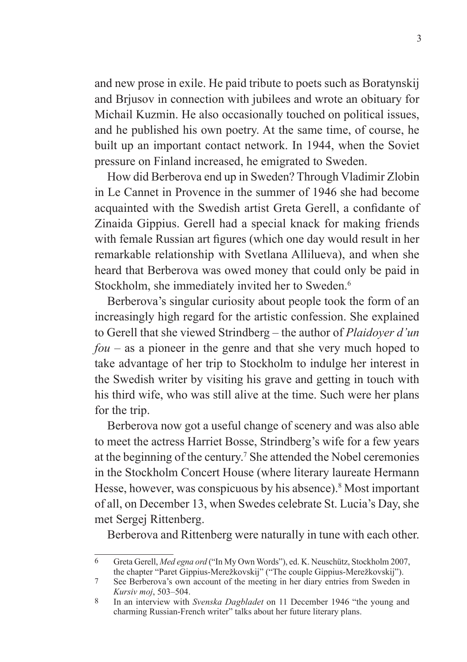and new prose in exile. He paid tribute to poets such as Boratynskij and Brjusov in connection with jubilees and wrote an obituary for Michail Kuzmin. He also occasionally touched on political issues, and he published his own poetry. At the same time, of course, he built up an important contact network. In 1944, when the Soviet pressure on Finland increased, he emigrated to Sweden.

How did Berberova end up in Sweden? Through Vladimir Zlobin in Le Cannet in Provence in the summer of 1946 she had become acquainted with the Swedish artist Greta Gerell, a confidante of Zinaida Gippius. Gerell had a special knack for making friends with female Russian art figures (which one day would result in her remarkable relationship with Svetlana Allilueva), and when she heard that Berberova was owed money that could only be paid in Stockholm, she immediately invited her to Sweden.<sup>6</sup>

Berberova's singular curiosity about people took the form of an increasingly high regard for the artistic confession. She explained to Gerell that she viewed Strindberg – the author of *Plaidoyer d'un fou* – as a pioneer in the genre and that she very much hoped to take advantage of her trip to Stockholm to indulge her interest in the Swedish writer by visiting his grave and getting in touch with his third wife, who was still alive at the time. Such were her plans for the trip.

Berberova now got a useful change of scenery and was also able to meet the actress Harriet Bosse, Strindberg's wife for a few years at the beginning of the century.<sup>7</sup> She attended the Nobel ceremonies in the Stockholm Concert House (where literary laureate Hermann Hesse, however, was conspicuous by his absence).8 Most important of all, on December 13, when Swedes celebrate St. Lucia's Day, she met Sergej Rittenberg.

Berberova and Rittenberg were naturally in tune with each other.

<sup>6</sup> Greta Gerell, *Med egna ord* ("In My Own Words"), ed. K. Neuschütz, Stockholm 2007, the chapter "Paret Gippius-Merežkovskij" ("The couple Gippius-Merežkovskij").

<sup>7</sup> See Berberova's own account of the meeting in her diary entries from Sweden in *Kursiv moj*, 503–504.

<sup>8</sup> In an interview with *Svenska Dagbladet* on 11 December 1946 "the young and charming Russian-French writer" talks about her future literary plans.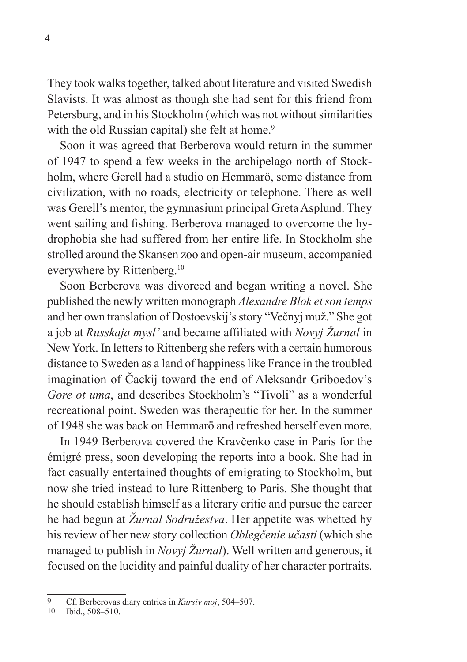They took walks together, talked about literature and visited Swedish Slavists. It was almost as though she had sent for this friend from Petersburg, and in his Stockholm (which was not without similarities with the old Russian capital) she felt at home.<sup>9</sup>

Soon it was agreed that Berberova would return in the summer of 1947 to spend a few weeks in the archipelago north of Stockholm, where Gerell had a studio on Hemmarö, some distance from civilization, with no roads, electricity or telephone. There as well was Gerell's mentor, the gymnasium principal Greta Asplund. They went sailing and fishing. Berberova managed to overcome the hydrophobia she had suffered from her entire life. In Stockholm she strolled around the Skansen zoo and open-air museum, accompanied everywhere by Rittenberg.10

Soon Berberova was divorced and began writing a novel. She published the newly written monograph *Alexandre Blok et son temps* and her own translation of Dostoevskij's story "Večnyj muž." She got a job at *Russkaja mysl'* and became affiliated with *Novyj Žurnal* in New York. In letters to Rittenberg she refers with a certain humorous distance to Sweden as a land of happiness like France in the troubled imagination of Čackij toward the end of Aleksandr Griboedov's *Gore ot uma*, and describes Stockholm's "Tivoli" as a wonderful recreational point. Sweden was therapeutic for her. In the summer of 1948 she was back on Hemmarö and refreshed herself even more.

In 1949 Berberova covered the Kravčenko case in Paris for the émigré press, soon developing the reports into a book. She had in fact casually entertained thoughts of emigrating to Stockholm, but now she tried instead to lure Rittenberg to Paris. She thought that he should establish himself as a literary critic and pursue the career he had begun at *Žurnal Sodružestva*. Her appetite was whetted by his review of her new story collection *Oblegčenie učasti* (which she managed to publish in *Novyj Žurnal*). Well written and generous, it focused on the lucidity and painful duality of her character portraits.

<sup>9</sup> Cf. Berberovas diary entries in *Kursiv moj*, 504–507.

 $1<sup>1</sup>$  fo8–510.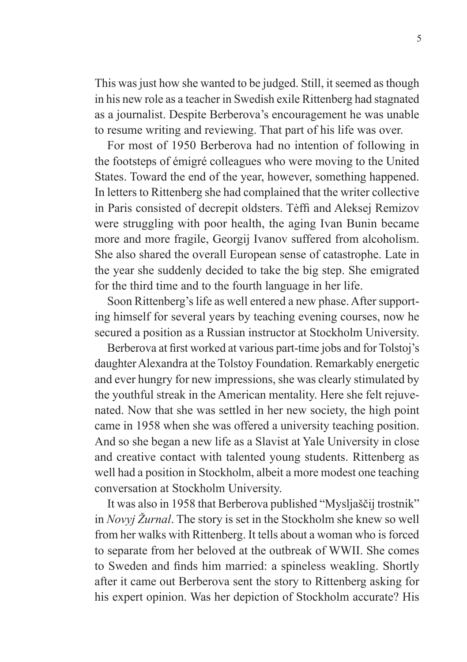This was just how she wanted to be judged. Still, it seemed as though in his new role as a teacher in Swedish exile Rittenberg had stagnated as a journalist. Despite Berberova's encouragement he was unable to resume writing and reviewing. That part of his life was over.

For most of 1950 Berberova had no intention of following in the footsteps of émigré colleagues who were moving to the United States. Toward the end of the year, however, something happened. In letters to Rittenberg she had complained that the writer collective in Paris consisted of decrepit oldsters. Tėffi and Aleksej Remizov were struggling with poor health, the aging Ivan Bunin became more and more fragile, Georgij Ivanov suffered from alcoholism. She also shared the overall European sense of catastrophe. Late in the year she suddenly decided to take the big step. She emigrated for the third time and to the fourth language in her life.

Soon Rittenberg's life as well entered a new phase. After supporting himself for several years by teaching evening courses, now he secured a position as a Russian instructor at Stockholm University.

Berberova at first worked at various part-time jobs and for Tolstoj's daughter Alexandra at the Tolstoy Foundation. Remarkably energetic and ever hungry for new impressions, she was clearly stimulated by the youthful streak in the American mentality. Here she felt rejuvenated. Now that she was settled in her new society, the high point came in 1958 when she was offered a university teaching position. And so she began a new life as a Slavist at Yale University in close and creative contact with talented young students. Rittenberg as well had a position in Stockholm, albeit a more modest one teaching conversation at Stockholm University.

It was also in 1958 that Berberova published "Mysljaščij trostnik" in *Novyj Žurnal*. The story is set in the Stockholm she knew so well from her walks with Rittenberg. It tells about a woman who is forced to separate from her beloved at the outbreak of WWII. She comes to Sweden and finds him married: a spineless weakling. Shortly after it came out Berberova sent the story to Rittenberg asking for his expert opinion. Was her depiction of Stockholm accurate? His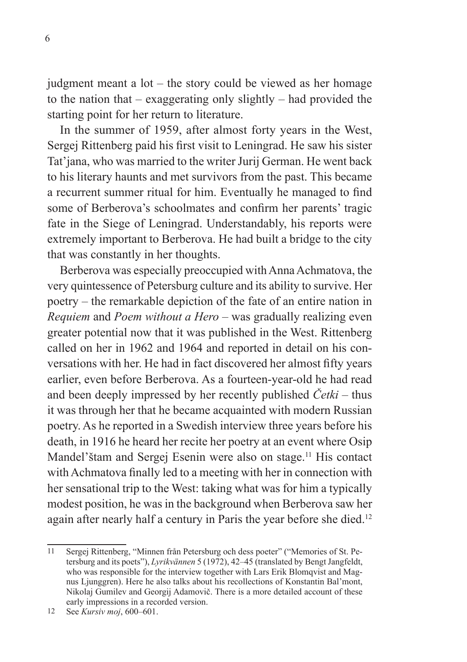judgment meant a lot – the story could be viewed as her homage to the nation that – exaggerating only slightly – had provided the starting point for her return to literature.

In the summer of 1959, after almost forty years in the West, Sergej Rittenberg paid his first visit to Leningrad. He saw his sister Tat'jana, who was married to the writer Jurij German. He went back to his literary haunts and met survivors from the past. This became a recurrent summer ritual for him. Eventually he managed to find some of Berberova's schoolmates and confirm her parents' tragic fate in the Siege of Leningrad. Understandably, his reports were extremely important to Berberova. He had built a bridge to the city that was constantly in her thoughts.

Berberova was especially preoccupied with Anna Achmatova, the very quintessence of Petersburg culture and its ability to survive. Her poetry – the remarkable depiction of the fate of an entire nation in *Requiem* and *Poem without a Hero* – was gradually realizing even greater potential now that it was published in the West. Rittenberg called on her in 1962 and 1964 and reported in detail on his conversations with her. He had in fact discovered her almost fifty years earlier, even before Berberova. As a fourteen-year-old he had read and been deeply impressed by her recently published *Četki* – thus it was through her that he became acquainted with modern Russian poetry. As he reported in a Swedish interview three years before his death, in 1916 he heard her recite her poetry at an event where Osip Mandel'štam and Sergej Esenin were also on stage.<sup>11</sup> His contact with Achmatova finally led to a meeting with her in connection with her sensational trip to the West: taking what was for him a typically modest position, he was in the background when Berberova saw her again after nearly half a century in Paris the year before she died.<sup>12</sup>

<sup>11</sup> Sergej Rittenberg, "Minnen från Petersburg och dess poeter" ("Memories of St. Petersburg and its poets"), *Lyrikvännen* 5 (1972), 42–45 (translated by Bengt Jangfeldt, who was responsible for the interview together with Lars Erik Blomqvist and Magnus Ljunggren). Here he also talks about his recollections of Konstantin Bal'mont, Nikolaj Gumilev and Georgij Adamovič. There is a more detailed account of these early impressions in a recorded version.

<sup>12</sup> See *Kursiv moj*, 600–601.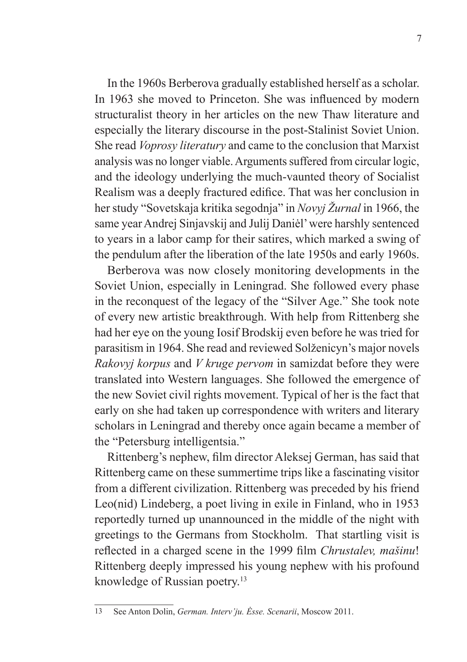In the 1960s Berberova gradually established herself as a scholar. In 1963 she moved to Princeton. She was influenced by modern structuralist theory in her articles on the new Thaw literature and especially the literary discourse in the post-Stalinist Soviet Union. She read *Voprosy literatury* and came to the conclusion that Marxist analysis was no longer viable. Arguments suffered from circular logic, and the ideology underlying the much-vaunted theory of Socialist Realism was a deeply fractured edifice. That was her conclusion in her study "Sovetskaja kritika segodnja" in *Novyj Žurnal* in 1966, the same year Andrej Sinjavskij and Julij Daniėl' were harshly sentenced to years in a labor camp for their satires, which marked a swing of the pendulum after the liberation of the late 1950s and early 1960s.

Berberova was now closely monitoring developments in the Soviet Union, especially in Leningrad. She followed every phase in the reconquest of the legacy of the "Silver Age." She took note of every new artistic breakthrough. With help from Rittenberg she had her eye on the young Iosif Brodskij even before he was tried for parasitism in 1964. She read and reviewed Solženicyn's major novels *Rakovyj korpus* and *V kruge pervom* in samizdat before they were translated into Western languages. She followed the emergence of the new Soviet civil rights movement. Typical of her is the fact that early on she had taken up correspondence with writers and literary scholars in Leningrad and thereby once again became a member of the "Petersburg intelligentsia."

Rittenberg's nephew, film director Aleksej German, has said that Rittenberg came on these summertime trips like a fascinating visitor from a different civilization. Rittenberg was preceded by his friend Leo(nid) Lindeberg, a poet living in exile in Finland, who in 1953 reportedly turned up unannounced in the middle of the night with greetings to the Germans from Stockholm. That startling visit is reflected in a charged scene in the 1999 film *Chrustalev, mašinu*! Rittenberg deeply impressed his young nephew with his profound knowledge of Russian poetry.<sup>13</sup>

<sup>13</sup> See Anton Dolin, *German. Interv'ju. Ėsse. Scenarii*, Moscow 2011.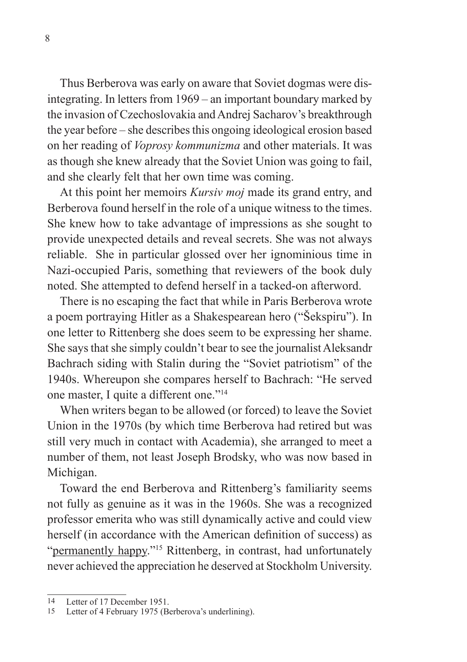Thus Berberova was early on aware that Soviet dogmas were disintegrating. In letters from 1969 – an important boundary marked by the invasion of Czechoslovakia and Andrej Sacharov's breakthrough the year before – she describes this ongoing ideological erosion based on her reading of *Voprosy kommunizma* and other materials. It was as though she knew already that the Soviet Union was going to fail, and she clearly felt that her own time was coming.

At this point her memoirs *Kursiv moj* made its grand entry, and Berberova found herself in the role of a unique witness to the times. She knew how to take advantage of impressions as she sought to provide unexpected details and reveal secrets. She was not always reliable. She in particular glossed over her ignominious time in Nazi-occupied Paris, something that reviewers of the book duly noted. She attempted to defend herself in a tacked-on afterword.

There is no escaping the fact that while in Paris Berberova wrote a poem portraying Hitler as a Shakespearean hero ("Šekspiru"). In one letter to Rittenberg she does seem to be expressing her shame. She says that she simply couldn't bear to see the journalist Aleksandr Bachrach siding with Stalin during the "Soviet patriotism" of the 1940s. Whereupon she compares herself to Bachrach: "He served one master, I quite a different one."14

When writers began to be allowed (or forced) to leave the Soviet Union in the 1970s (by which time Berberova had retired but was still very much in contact with Academia), she arranged to meet a number of them, not least Joseph Brodsky, who was now based in Michigan.

Toward the end Berberova and Rittenberg's familiarity seems not fully as genuine as it was in the 1960s. She was a recognized professor emerita who was still dynamically active and could view herself (in accordance with the American definition of success) as "permanently happy."15 Rittenberg, in contrast, had unfortunately never achieved the appreciation he deserved at Stockholm University.

<sup>14</sup> Letter of 17 December 1951.

<sup>15</sup> Letter of 4 February 1975 (Berberova's underlining).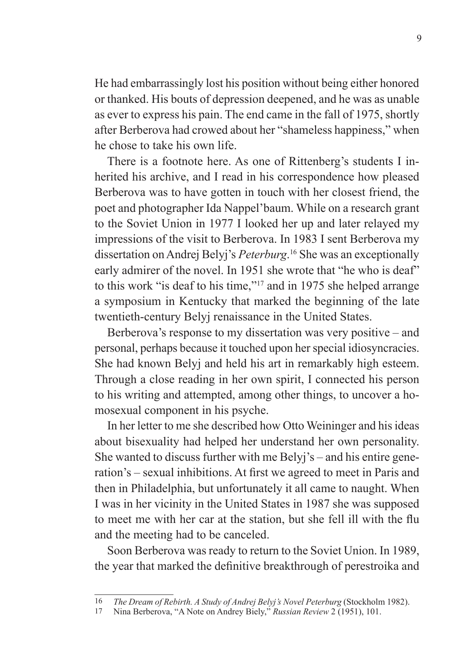He had embarrassingly lost his position without being either honored or thanked. His bouts of depression deepened, and he was as unable as ever to express his pain. The end came in the fall of 1975, shortly after Berberova had crowed about her "shameless happiness," when he chose to take his own life.

There is a footnote here. As one of Rittenberg's students I inherited his archive, and I read in his correspondence how pleased Berberova was to have gotten in touch with her closest friend, the poet and photographer Ida Nappel'baum. While on a research grant to the Soviet Union in 1977 I looked her up and later relayed my impressions of the visit to Berberova. In 1983 I sent Berberova my dissertation on Andrej Belyj's *Peterburg*. 16 She was an exceptionally early admirer of the novel. In 1951 she wrote that "he who is deaf" to this work "is deaf to his time,"17 and in 1975 she helped arrange a symposium in Kentucky that marked the beginning of the late twentieth-century Belyj renaissance in the United States.

Berberova's response to my dissertation was very positive – and personal, perhaps because it touched upon her special idiosyncracies. She had known Belyj and held his art in remarkably high esteem. Through a close reading in her own spirit, I connected his person to his writing and attempted, among other things, to uncover a homosexual component in his psyche.

In her letter to me she described how Otto Weininger and his ideas about bisexuality had helped her understand her own personality. She wanted to discuss further with me Belyj's – and his entire generation's – sexual inhibitions. At first we agreed to meet in Paris and then in Philadelphia, but unfortunately it all came to naught. When I was in her vicinity in the United States in 1987 she was supposed to meet me with her car at the station, but she fell ill with the flu and the meeting had to be canceled.

Soon Berberova was ready to return to the Soviet Union. In 1989, the year that marked the definitive breakthrough of perestroika and

<sup>16</sup> *The Dream of Rebirth. A Study of Andrej Belyj's Novel Peterburg* (Stockholm 1982).

<sup>17</sup> Nina Berberova, "A Note on Andrey Biely," *Russian Review* 2 (1951), 101.